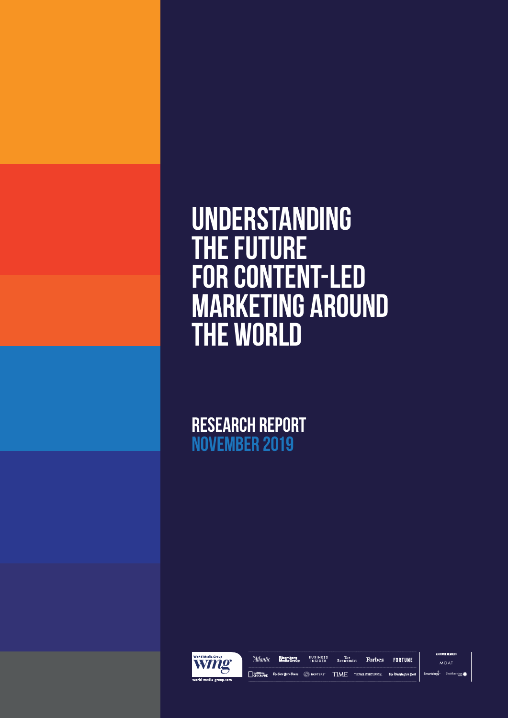# **Understanding the future for content-led marketing around the world**

**RESEARCH REPORT NOVEMBER 2019**



**SOCIATE MEMBER** Allantic Bloomberg BUSINESS The The **Forbes FORTUNE**  $\begin{tabular}{| c | c | c | c |} \hline \texttt{NATIONAL} & \texttt{\texttt{E}} & \texttt{\texttt{E}} & \texttt{\texttt{E}} & \texttt{\texttt{E}} & \texttt{\texttt{E}} & \texttt{\texttt{E}} & \texttt{\texttt{E}} & \texttt{\texttt{E}} & \texttt{\texttt{E}} & \texttt{\texttt{E}} & \texttt{\texttt{E}} & \texttt{\texttt{E}} & \texttt{\texttt{E}} & \texttt{\texttt{E}} & \texttt{\texttt{E}} & \texttt{\texttt{E}} & \texttt{\texttt{E}} & \texttt{\texttt{E}} & \texttt{\texttt{E}} & \text$ Smartology

Smithsonian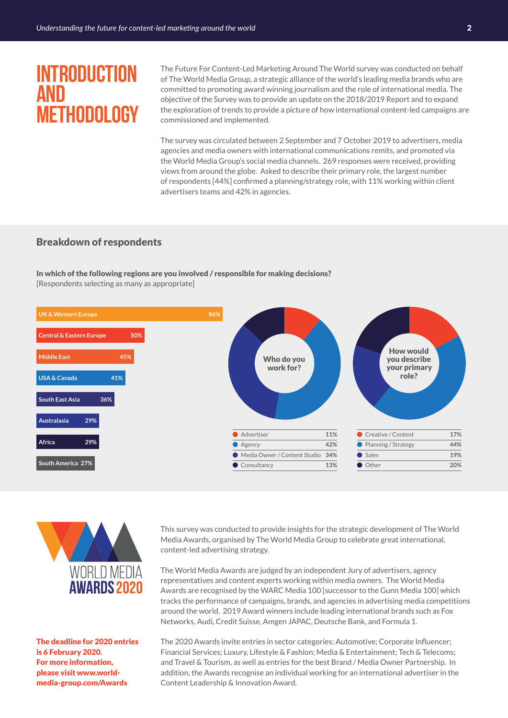### **Introduction and Methodology**

The Future For Content-Led Marketing Around The World survey was conducted on behalf of The World Media Group, a strategic alliance of the world's leading media brands who are committed to promoting award winning journalism and the role of international media. The objective of the Survey was to provide an update on the 2018/2019 Report and to expand the exploration of trends to provide a picture of how international content-led campaigns are commissioned and implemented.

The survey was circulated between 2 September and 7 October 2019 to advertisers, media agencies and media owners with international communications remits, and promoted via the World Media Group's social media channels. 269 responses were received, providing views from around the globe. Asked to describe their primary role, the largest number of respondents [44%] confirmed a planning/strategy role, with 11% working within client advertisers teams and 42% in agencies.

#### Breakdown of respondents

In which of the following regions are you involved / responsible for making decisions? [Respondents selecting as many as appropriate]





The deadline for 2020 entries is 6 February 2020. For more information, please visit www.worldmedia-group.com/Awards

This survey was conducted to provide insights for the strategic development of The World Media Awards, organised by The World Media Group to celebrate great international, content-led advertising strategy.

The World Media Awards are judged by an independent Jury of advertisers, agency representatives and content experts working within media owners. The World Media Awards are recognised by the WARC Media 100 [successor to the Gunn Media 100] which tracks the performance of campaigns, brands, and agencies in advertising media competitions around the world. 2019 Award winners include leading international brands such as Fox Networks, Audi, Credit Suisse, Amgen JAPAC, Deutsche Bank, and Formula 1.

The 2020 Awards invite entries in sector categories: Automotive; Corporate Influencer; Financial Services; Luxury, Lifestyle & Fashion; Media & Entertainment; Tech & Telecoms; and Travel & Tourism, as well as entries for the best Brand / Media Owner Partnership. In addition, the Awards recognise an individual working for an international advertiser in the Content Leadership & Innovation Award.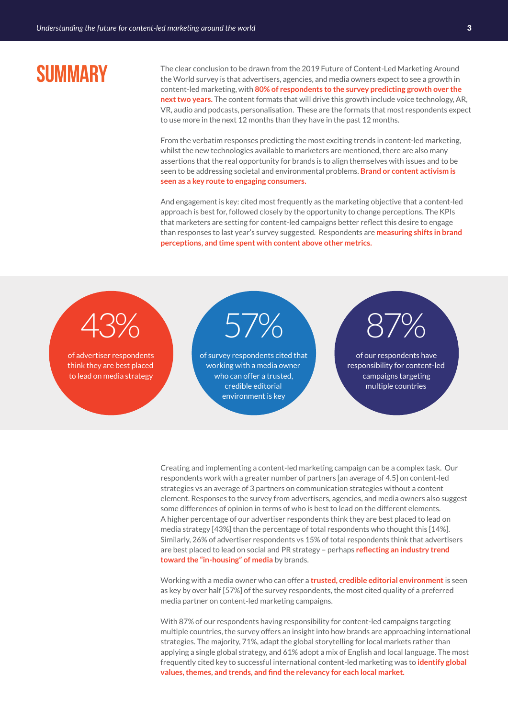### **Summary**

The clear conclusion to be drawn from the 2019 Future of Content-Led Marketing Around the World survey is that advertisers, agencies, and media owners expect to see a growth in content-led marketing, with **80% of respondents to the survey predicting growth over the next two years.** The content formats that will drive this growth include voice technology, AR, VR, audio and podcasts, personalisation. These are the formats that most respondents expect to use more in the next 12 months than they have in the past 12 months.

From the verbatim responses predicting the most exciting trends in content-led marketing, whilst the new technologies available to marketers are mentioned, there are also many assertions that the real opportunity for brands is to align themselves with issues and to be seen to be addressing societal and environmental problems. **Brand or content activism is seen as a key route to engaging consumers.** 

And engagement is key: cited most frequently as the marketing objective that a content-led approach is best for, followed closely by the opportunity to change perceptions. The KPIs that marketers are setting for content-led campaigns better reflect this desire to engage than responses to last year's survey suggested. Respondents are **measuring shifts in brand perceptions, and time spent with content above other metrics.** 

# 43%

of advertiser respondents think they are best placed to lead on media strategy

57%

of survey respondents cited that working with a media owner who can offer a trusted, credible editorial environment is key

# 87%

of our respondents have responsibility for content-led campaigns targeting multiple countries

Creating and implementing a content-led marketing campaign can be a complex task. Our respondents work with a greater number of partners [an average of 4.5] on content-led strategies vs an average of 3 partners on communication strategies without a content element. Responses to the survey from advertisers, agencies, and media owners also suggest some differences of opinion in terms of who is best to lead on the different elements. A higher percentage of our advertiser respondents think they are best placed to lead on media strategy [43%] than the percentage of total respondents who thought this [14%]. Similarly, 26% of advertiser respondents vs 15% of total respondents think that advertisers are best placed to lead on social and PR strategy – perhaps **reflecting an industry trend toward the "in-housing" of media** by brands.

Working with a media owner who can offer a **trusted, credible editorial environment**is seen as key by over half [57%] of the survey respondents, the most cited quality of a preferred media partner on content-led marketing campaigns.

With 87% of our respondents having responsibility for content-led campaigns targeting multiple countries, the survey offers an insight into how brands are approaching international strategies. The majority, 71%, adapt the global storytelling for local markets rather than applying a single global strategy, and 61% adopt a mix of English and local language. The most frequently cited key to successful international content-led marketing was to **identify global values, themes, and trends, and find the relevancy for each local market.**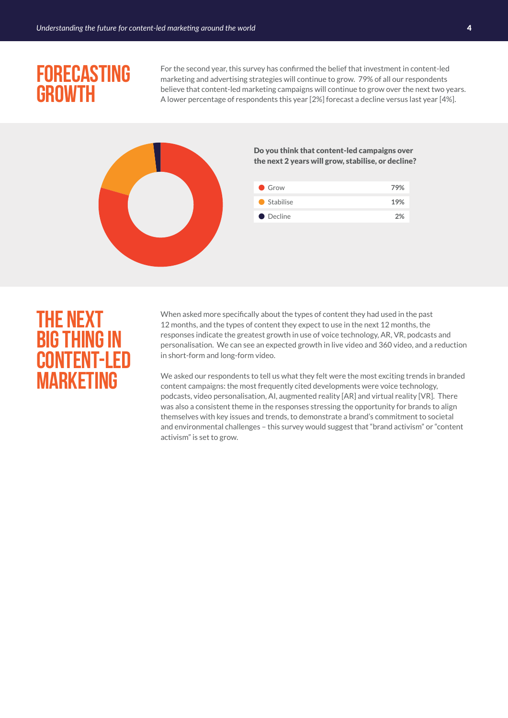### **Forecasting growth**

For the second year, this survey has confirmed the belief that investment in content-led marketing and advertising strategies will continue to grow. 79% of all our respondents believe that content-led marketing campaigns will continue to grow over the next two years. A lower percentage of respondents this year [2%] forecast a decline versus last year [4%].



Do you think that content-led campaigns over the next 2 years will grow, stabilise, or decline?

| Grow        | 79% |
|-------------|-----|
| ● Stabilise | 19% |
| • Decline   | 2%  |

### **The next big thing in content-led marketing**

When asked more specifically about the types of content they had used in the past 12 months, and the types of content they expect to use in the next 12 months, the responses indicate the greatest growth in use of voice technology, AR, VR, podcasts and personalisation. We can see an expected growth in live video and 360 video, and a reduction in short-form and long-form video.

We asked our respondents to tell us what they felt were the most exciting trends in branded content campaigns: the most frequently cited developments were voice technology, podcasts, video personalisation, AI, augmented reality [AR] and virtual reality [VR]. There was also a consistent theme in the responses stressing the opportunity for brands to align themselves with key issues and trends, to demonstrate a brand's commitment to societal and environmental challenges – this survey would suggest that "brand activism" or "content activism" is set to grow.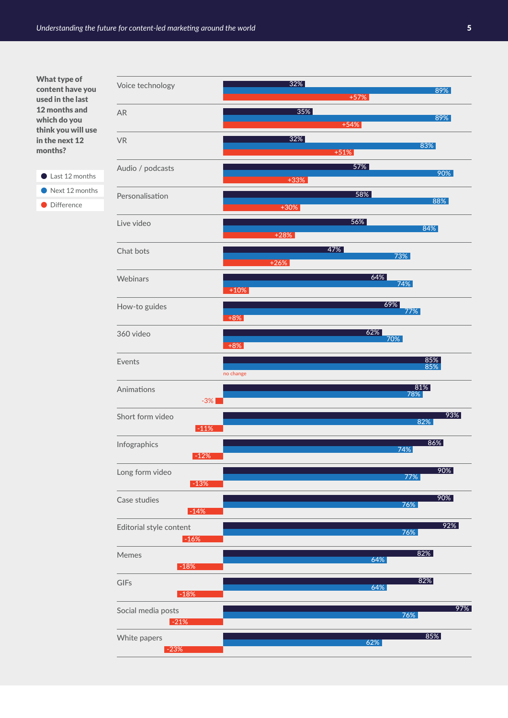#### What type of content have you used in the last 12 months and which do you think you will use in the next 12 months?

last 12 months Next 12 months

**O** Difference

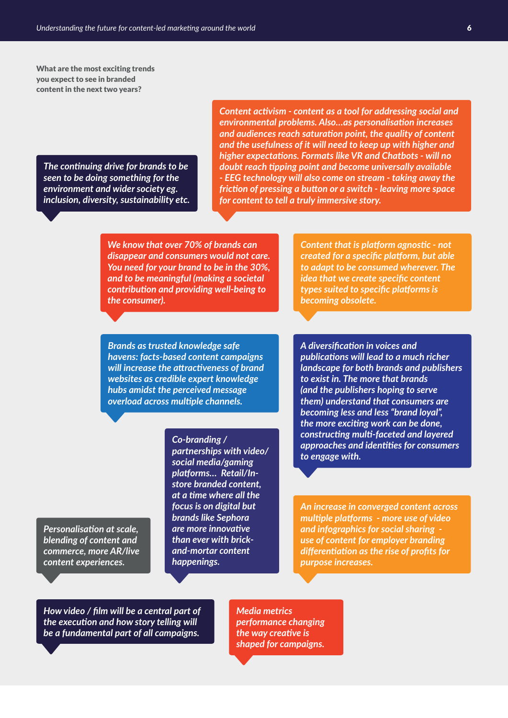What are the most exciting trends you expect to see in branded content in the next two years?

*The continuing drive for brands to be seen to be doing something for the environment and wider society eg. inclusion, diversity, sustainability etc.*

*Content activism - content as a tool for addressing social and environmental problems. Also…as personalisation increases and audiences reach saturation point, the quality of content and the usefulness of it will need to keep up with higher and higher expectations. Formats like VR and Chatbots - will no doubt reach tipping point and become universally available - EEG technology will also come on stream - taking away the friction of pressing a button or a switch - leaving more space for content to tell a truly immersive story.*

*We know that over 70% of brands can disappear and consumers would not care. You need for your brand to be in the 30%, and to be meaningful (making a societal contribution and providing well-being to the consumer).*

*Content that is platform agnostic - not created for a specific platform, but able to adapt to be consumed wherever. The idea that we create specific content types suited to specific platforms is becoming obsolete.*

*Brands as trusted knowledge safe havens: facts-based content campaigns will increase the attractiveness of brand websites as credible expert knowledge hubs amidst the perceived message overload across multiple channels.* 

#### *Co-branding /*

*partnerships with video/ social media/gaming platforms… Retail/Instore branded content, at a time where all the focus is on digital but brands like Sephora are more innovative than ever with brickand-mortar content happenings.*

*A diversification in voices and publications will lead to a much richer landscape for both brands and publishers to exist in. The more that brands (and the publishers hoping to serve them) understand that consumers are becoming less and less "brand loyal", the more exciting work can be done, constructing multi-faceted and layered approaches and identities for consumers to engage with.*

*An increase in converged content across multiple platforms - more use of video and infographics for social sharing use of content for employer branding differentiation as the rise of profits for purpose increases.*

*Personalisation at scale, blending of content and commerce, more AR/live content experiences.*

*How video / film will be a central part of the execution and how story telling will be a fundamental part of all campaigns.*

*Media metrics performance changing the way creative is shaped for campaigns.*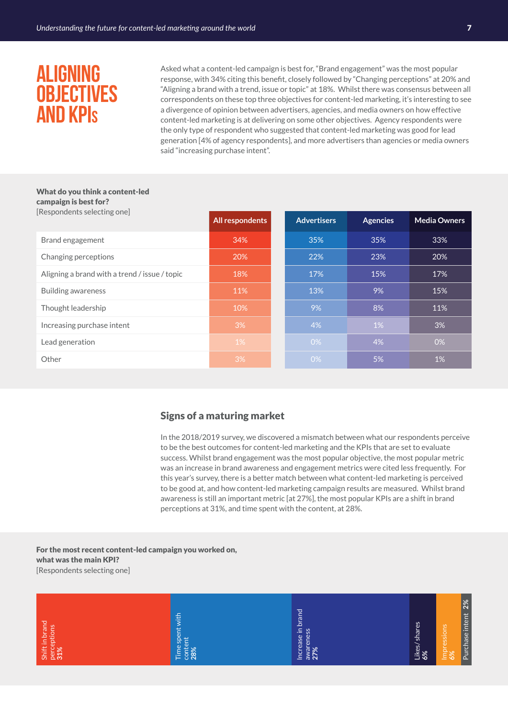### **Aligning Objectives and KPI<sup>s</sup>**

Asked what a content-led campaign is best for, "Brand engagement" was the most popular response, with 34% citing this benefit, closely followed by "Changing perceptions" at 20% and "Aligning a brand with a trend, issue or topic" at 18%. Whilst there was consensus between all correspondents on these top three objectives for content-led marketing, it's interesting to see a divergence of opinion between advertisers, agencies, and media owners on how effective content-led marketing is at delivering on some other objectives. Agency respondents were the only type of respondent who suggested that content-led marketing was good for lead generation [4% of agency respondents], and more advertisers than agencies or media owners said "increasing purchase intent".

#### What do you think a content-led campaign is best for? [Respondents selecting one]

| [RESPOIIGEIIIS SEIECHIIB OIIE]                | <b>All respondents</b> |  | <b>Advertisers</b> | <b>Agencies</b> | <b>Media Owners</b> |
|-----------------------------------------------|------------------------|--|--------------------|-----------------|---------------------|
| Brand engagement                              | 34%                    |  | 35%                | 35%             | 33%                 |
| Changing perceptions                          | 20%                    |  | 22%                | 23%             | 20%                 |
| Aligning a brand with a trend / issue / topic | 18%                    |  | 17%                | 15%             | 17%                 |
| Building awareness                            | 11%                    |  | 13%                | 9%              | 15%                 |
| Thought leadership                            | 10%                    |  | 9%                 | 8%              | 11%                 |
| Increasing purchase intent                    | 3%                     |  | 4%                 | 1%              | 3%                  |
| Lead generation                               | 1%                     |  | 0%                 | 4%              | 0%                  |
| Other                                         | 3%                     |  | 0%                 | 5%              | 1%                  |

#### Signs of a maturing market

In the 2018/2019 survey, we discovered a mismatch between what our respondents perceive to be the best outcomes for content-led marketing and the KPIs that are set to evaluate success. Whilst brand engagement was the most popular objective, the most popular metric was an increase in brand awareness and engagement metrics were cited less frequently. For this year's survey, there is a better match between what content-led marketing is perceived to be good at, and how content-led marketing campaign results are measured. Whilst brand awareness is still an important metric [at 27%], the most popular KPIs are a shift in brand perceptions at 31%, and time spent with the content, at 28%.

For the most recent content-led campaign you worked on, what was the main KPI? [Respondents selecting one]

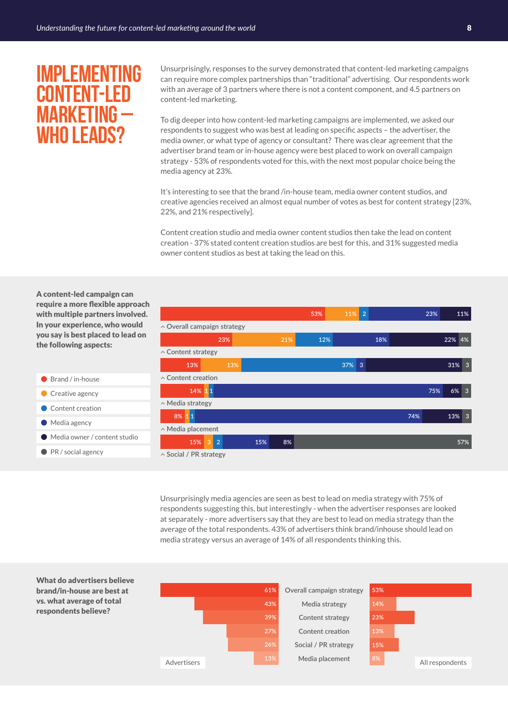### **Implementing content-led marketing – who leads?**

Unsurprisingly, responses to the survey demonstrated that content-led marketing campaigns can require more complex partnerships than "traditional" advertising. Our respondents work with an average of 3 partners where there is not a content component, and 4.5 partners on content-led marketing.

To dig deeper into how content-led marketing campaigns are implemented, we asked our respondents to suggest who was best at leading on specific aspects – the advertiser, the media owner, or what type of agency or consultant? There was clear agreement that the advertiser brand team or in-house agency were best placed to work on overall campaign strategy - 53% of respondents voted for this, with the next most popular choice being the media agency at 23%.

It's interesting to see that the brand /in-house team, media owner content studios, and creative agencies received an almost equal number of votes as best for content strategy [23%, 22%, and 21% respectively].

Content creation studio and media owner content studios then take the lead on content creation - 37% stated content creation studios are best for this, and 31% suggested media owner content studios as best at taking the lead on this.

A content-led campaign can require a more flexible approach with multiple partners involved. In your experience, who would you say is best placed to lead on the following aspects:

- Brand / in-house
- Creative agency
- Content creation
- **Media agency**
- Media owner / content studio

brand/in-house are best at vs. what average of total respondents believe?

● PR / social agency

|                                  |                     |     |     | 53% | 11% | $\overline{2}$ |     |     | 23% |        | 11%            |
|----------------------------------|---------------------|-----|-----|-----|-----|----------------|-----|-----|-----|--------|----------------|
| $\sim$ Overall campaign strategy |                     |     |     |     |     |                |     |     |     |        |                |
|                                  | 23%                 |     | 21% | 12% |     |                | 18% |     |     | 22% 4% |                |
| $\sim$ Content strategy          |                     |     |     |     |     |                |     |     |     |        |                |
| 13%                              |                     | 13% |     |     | 37% | 3              |     |     |     | 31%    | $\overline{3}$ |
| $\sim$ Content creation          |                     |     |     |     |     |                |     |     |     |        |                |
| 14% 11                           |                     |     |     |     |     |                |     |     | 75% | 6%     | $\overline{3}$ |
| ^ Media strategy                 |                     |     |     |     |     |                |     |     |     |        |                |
| 8% 11                            |                     |     |     |     |     |                |     | 74% |     | 13%    | $\overline{3}$ |
| $\land$ Media placement          |                     |     |     |     |     |                |     |     |     |        |                |
| 15%                              | $\overline{2}$<br>3 | 15% | 8%  |     |     |                |     |     |     |        | 57%            |
| △ Social / PR strategy           |                     |     |     |     |     |                |     |     |     |        |                |

Unsurprisingly media agencies are seen as best to lead on media strategy with 75% of respondents suggesting this, but interestingly - when the advertiser responses are looked at separately - more advertisers say that they are best to lead on media strategy than the average of the total respondents. 43% of advertisers think brand/inhouse should lead on media strategy versus an average of 14% of all respondents thinking this.

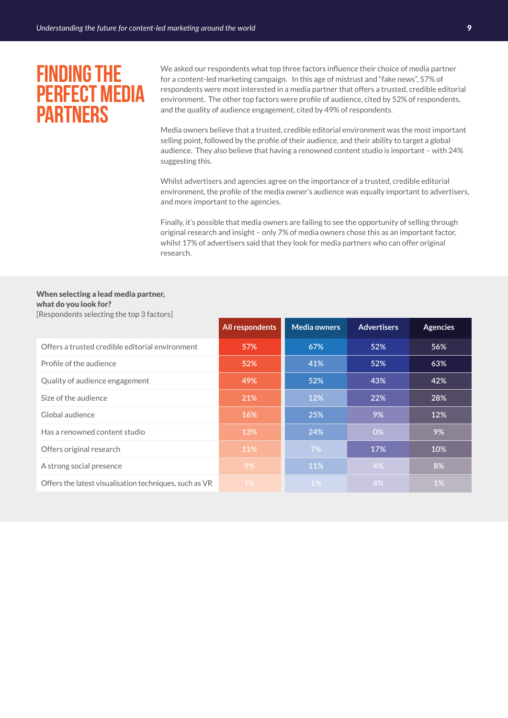### **Finding the perfect media partners**

We asked our respondents what top three factors influence their choice of media partner for a content-led marketing campaign. In this age of mistrust and "fake news", 57% of respondents were most interested in a media partner that offers a trusted, credible editorial environment. The other top factors were profile of audience, cited by 52% of respondents, and the quality of audience engagement, cited by 49% of respondents.

Media owners believe that a trusted, credible editorial environment was the most important selling point, followed by the profile of their audience, and their ability to target a global audience. They also believe that having a renowned content studio is important – with 24% suggesting this.

Whilst advertisers and agencies agree on the importance of a trusted, credible editorial environment, the profile of the media owner's audience was equally important to advertisers, and more important to the agencies.

Finally, it's possible that media owners are failing to see the opportunity of selling through original research and insight – only 7% of media owners chose this as an important factor, whilst 17% of advertisers said that they look for media partners who can offer original research.

#### When selecting a lead media partner, what do you look for?

|                                                        | All respondents | <b>Media owners</b> | <b>Advertisers</b> | <b>Agencies</b> |
|--------------------------------------------------------|-----------------|---------------------|--------------------|-----------------|
| Offers a trusted credible editorial environment        | 57%             | 67%                 | 52%                | 56%             |
| Profile of the audience                                | 52%             | 41%                 | 52%                | 63%             |
| Quality of audience engagement                         | 49%             | 52%                 | 43%                | 42%             |
| Size of the audience                                   | 21%             | 12%                 | 22%                | 28%             |
| Global audience                                        | 16%             | 25%                 | 9%                 | 12%             |
| Has a renowned content studio                          | 13%             | 24%                 | 0%                 | 9%              |
| Offers original research                               | 11%             | 7%                  | 17%                | 10%             |
| A strong social presence                               | 9%              | 11%                 | 4%                 | 8%              |
| Offers the latest visualisation techniques, such as VR | 1%              | $1\%$               | 4%                 | 1%              |

[Respondents selecting the top 3 factors]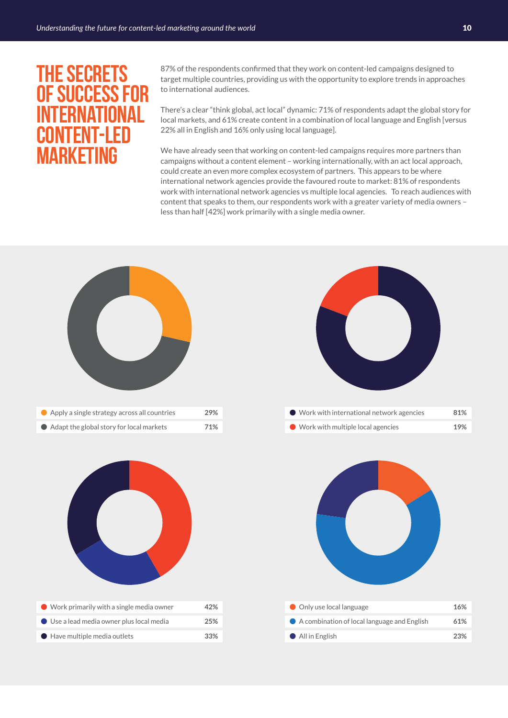### **The secrets of success for international content-led MARKETING**

87% of the respondents confirmed that they work on content-led campaigns designed to target multiple countries, providing us with the opportunity to explore trends in approaches to international audiences.

There's a clear "think global, act local" dynamic: 71% of respondents adapt the global story for local markets, and 61% create content in a combination of local language and English [versus 22% all in English and 16% only using local language].

We have already seen that working on content-led campaigns requires more partners than campaigns without a content element – working internationally, with an act local approach, could create an even more complex ecosystem of partners. This appears to be where international network agencies provide the favoured route to market: 81% of respondents work with international network agencies vs multiple local agencies. To reach audiences with content that speaks to them, our respondents work with a greater variety of media owners – less than half [42%] work primarily with a single media owner.

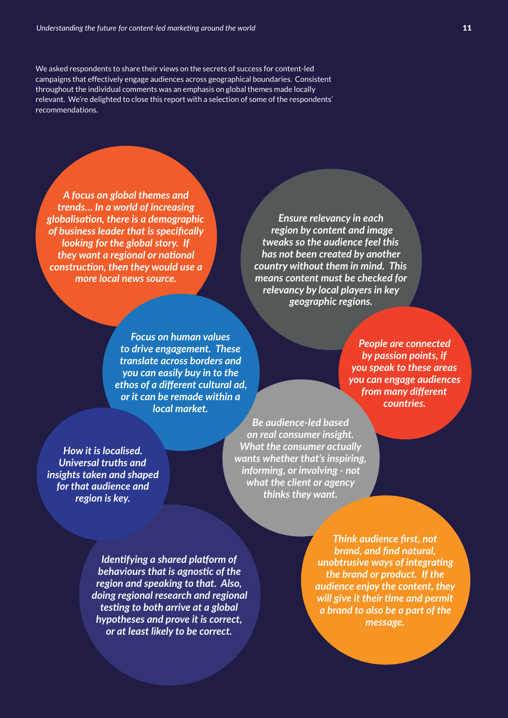We asked respondents to share their views on the secrets of success for content-led campaigns that effectively engage audiences across geographical boundaries. Consistent throughout the individual comments was an emphasis on global themes made locally relevant. We're delighted to close this report with a selection of some of the respondents' recommendations.

*A focus on global themes and trends… In a world of increasing globalisation, there is a demographic of business leader that is specifically looking for the global story. If they want a regional or national construction, then they would use a more local news source.*

*Ensure relevancy in each region by content and image tweaks so the audience feel this has not been created by another country without them in mind. This means content must be checked for relevancy by local players in key geographic regions.*

*Focus on human values to drive engagement. These translate across borders and you can easily buy in to the ethos of a different cultural ad, or it can be remade within a local market.*

*People are connected by passion points, if you speak to these areas you can engage audiences from many different countries.*

*How it is localised. Universal truths and insights taken and shaped for that audience and region is key.*

*Be audience-led based on real consumer insight. What the consumer actually wants whether that's inspiring, informing, or involving - not what the client or agency thinks they want.*

*Identifying a shared platform of behaviours that is agnostic of the region and speaking to that. Also, doing regional research and regional testing to both arrive at a global hypotheses and prove it is correct, or at least likely to be correct.*

*Think audience first, not brand, and find natural, unobtrusive ways of integrating the brand or product. If the audience enjoy the content, they will give it their time and permit a brand to also be a part of the message.*